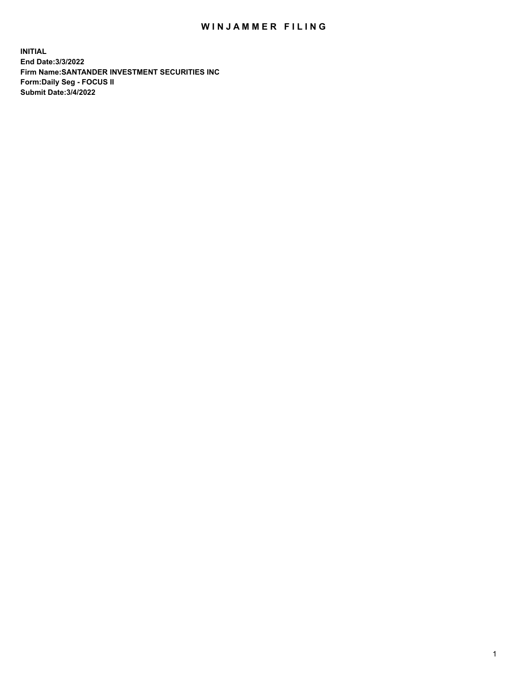## WIN JAMMER FILING

**INITIAL End Date:3/3/2022 Firm Name:SANTANDER INVESTMENT SECURITIES INC Form:Daily Seg - FOCUS II Submit Date:3/4/2022**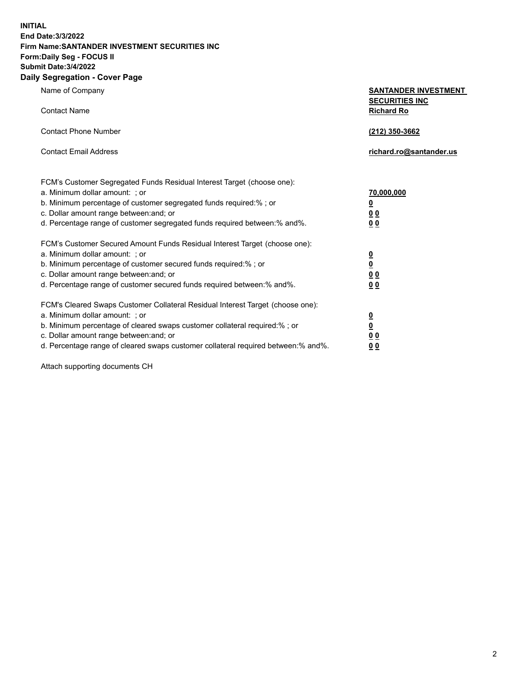**INITIAL End Date:3/3/2022 Firm Name:SANTANDER INVESTMENT SECURITIES INC Form:Daily Seg - FOCUS II Submit Date:3/4/2022 Daily Segregation - Cover Page**

| Name of Company                                                                   | <b>SANTANDER INVESTMENT</b><br><b>SECURITIES INC</b> |
|-----------------------------------------------------------------------------------|------------------------------------------------------|
| <b>Contact Name</b>                                                               | <b>Richard Ro</b>                                    |
| <b>Contact Phone Number</b>                                                       | (212) 350-3662                                       |
| <b>Contact Email Address</b>                                                      | richard.ro@santander.us                              |
| FCM's Customer Segregated Funds Residual Interest Target (choose one):            |                                                      |
| a. Minimum dollar amount: ; or                                                    | 70,000,000                                           |
| b. Minimum percentage of customer segregated funds required:% ; or                | $\overline{\mathbf{0}}$                              |
| c. Dollar amount range between: and; or                                           | 0 <sub>0</sub>                                       |
| d. Percentage range of customer segregated funds required between:% and%.         | 0 <sub>0</sub>                                       |
| FCM's Customer Secured Amount Funds Residual Interest Target (choose one):        |                                                      |
| a. Minimum dollar amount: ; or                                                    | $\overline{\mathbf{0}}$                              |
| b. Minimum percentage of customer secured funds required:%; or                    | $\overline{\mathbf{0}}$                              |
| c. Dollar amount range between: and; or                                           | 0 <sub>0</sub>                                       |
| d. Percentage range of customer secured funds required between:% and%.            | 0 <sub>0</sub>                                       |
| FCM's Cleared Swaps Customer Collateral Residual Interest Target (choose one):    |                                                      |
| a. Minimum dollar amount: ; or                                                    | <u>0</u>                                             |
| b. Minimum percentage of cleared swaps customer collateral required:%; or         | $\underline{\mathbf{0}}$                             |
| c. Dollar amount range between: and; or                                           | 0 <sub>0</sub>                                       |
| d. Percentage range of cleared swaps customer collateral required between:% and%. | 0 <sub>0</sub>                                       |

Attach supporting documents CH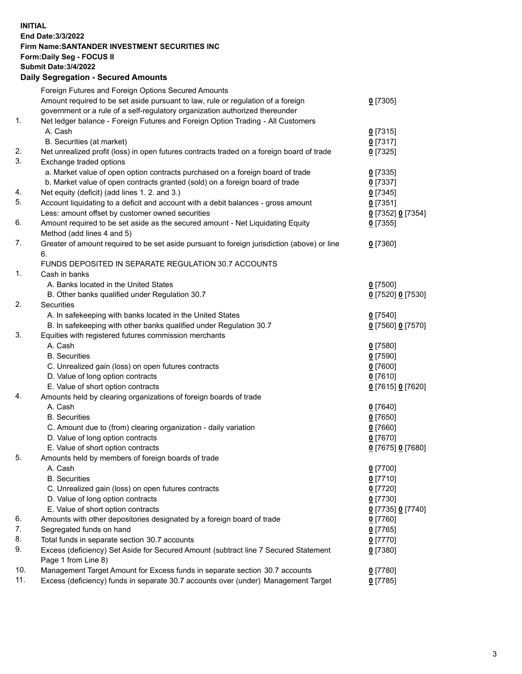## **INITIAL End Date:3/3/2022 Firm Name:SANTANDER INVESTMENT SECURITIES INC Form:Daily Seg - FOCUS II Submit Date:3/4/2022 Daily Segregation - Secured Amounts** Foreign Futures and Foreign Options Secured Amounts Amount required to be set aside pursuant to law, rule or regulation of a foreign government or a rule of a self-regulatory organization authorized thereunder 1. Net ledger balance - Foreign Futures and Foreign Option Trading - All Customers A. Cash **0** [7315] B. Securities (at market) **0** [7317] 2. Net unrealized profit (loss) in open futures contracts traded on a foreign board of trade **0** [7325] 3. Exchange traded options a. Market value of open option contracts purchased on a foreign board of trade **0** [7335] b. Market value of open contracts granted (sold) on a foreign board of trade **0** [7337] 4. Net equity (deficit) (add lines 1. 2. and 3.) **0** [7345]

| 5.  | Account liquidating to a deficit and account with a debit balances - gross amount           | $0$ [7351]        |
|-----|---------------------------------------------------------------------------------------------|-------------------|
|     | Less: amount offset by customer owned securities                                            | 0 [7352] 0 [7354] |
| 6.  | Amount required to be set aside as the secured amount - Net Liquidating Equity              | $0$ [7355]        |
|     | Method (add lines 4 and 5)                                                                  |                   |
| 7.  | Greater of amount required to be set aside pursuant to foreign jurisdiction (above) or line | $0$ [7360]        |
|     | 6.                                                                                          |                   |
|     | FUNDS DEPOSITED IN SEPARATE REGULATION 30.7 ACCOUNTS                                        |                   |
| 1.  | Cash in banks                                                                               |                   |
|     | A. Banks located in the United States                                                       | $0$ [7500]        |
|     | B. Other banks qualified under Regulation 30.7                                              | 0 [7520] 0 [7530] |
| 2.  | Securities                                                                                  |                   |
|     | A. In safekeeping with banks located in the United States                                   | $0$ [7540]        |
|     | B. In safekeeping with other banks qualified under Regulation 30.7                          | 0 [7560] 0 [7570] |
| 3.  | Equities with registered futures commission merchants                                       |                   |
|     | A. Cash                                                                                     | $0$ [7580]        |
|     | <b>B.</b> Securities                                                                        | $0$ [7590]        |
|     | C. Unrealized gain (loss) on open futures contracts                                         | $0$ [7600]        |
|     | D. Value of long option contracts                                                           | $0$ [7610]        |
|     | E. Value of short option contracts                                                          | 0 [7615] 0 [7620] |
| 4.  | Amounts held by clearing organizations of foreign boards of trade                           |                   |
|     | A. Cash                                                                                     | $0$ [7640]        |
|     | <b>B.</b> Securities                                                                        | $0$ [7650]        |
|     | C. Amount due to (from) clearing organization - daily variation                             | $0$ [7660]        |
|     | D. Value of long option contracts                                                           | $0$ [7670]        |
|     | E. Value of short option contracts                                                          | 0 [7675] 0 [7680] |
| 5.  | Amounts held by members of foreign boards of trade                                          |                   |
|     | A. Cash                                                                                     | $0$ [7700]        |
|     | <b>B.</b> Securities                                                                        | $0$ [7710]        |
|     | C. Unrealized gain (loss) on open futures contracts                                         | $0$ [7720]        |
|     | D. Value of long option contracts                                                           | $0$ [7730]        |
|     | E. Value of short option contracts                                                          | 0 [7735] 0 [7740] |
| 6.  | Amounts with other depositories designated by a foreign board of trade                      | $0$ [7760]        |
| 7.  | Segregated funds on hand                                                                    | $0$ [7765]        |
| 8.  | Total funds in separate section 30.7 accounts                                               | $0$ [7770]        |
| 9.  | Excess (deficiency) Set Aside for Secured Amount (subtract line 7 Secured Statement         | $0$ [7380]        |
|     | Page 1 from Line 8)                                                                         |                   |
| 10. | Management Target Amount for Excess funds in separate section 30.7 accounts                 | $0$ [7780]        |
| 11. | Excess (deficiency) funds in separate 30.7 accounts over (under) Management Target          | $0$ [7785]        |

**0** [7305]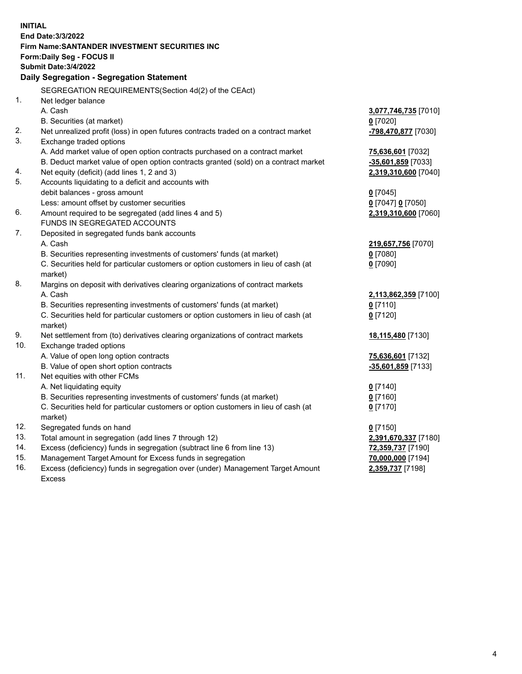| <b>Submit Date: 3/4/2022</b><br>Daily Segregation - Segregation Statement<br>SEGREGATION REQUIREMENTS(Section 4d(2) of the CEAct)<br>1.<br>Net ledger balance<br>A. Cash<br>3,077,746,735 [7010]<br>B. Securities (at market)<br>$0$ [7020]<br>2.<br>Net unrealized profit (loss) in open futures contracts traded on a contract market<br>-798,470,877 [7030]<br>3.<br>Exchange traded options<br>A. Add market value of open option contracts purchased on a contract market<br>75,636,601 [7032]<br>B. Deduct market value of open option contracts granted (sold) on a contract market<br>-35,601,859 [7033]<br>4.<br>Net equity (deficit) (add lines 1, 2 and 3)<br>2,319,310,600 [7040]<br>5.<br>Accounts liquidating to a deficit and accounts with<br>debit balances - gross amount<br>$0$ [7045]<br>Less: amount offset by customer securities<br>0 [7047] 0 [7050]<br>6.<br>Amount required to be segregated (add lines 4 and 5)<br>2,319,310,600 [7060]<br>FUNDS IN SEGREGATED ACCOUNTS<br>7.<br>Deposited in segregated funds bank accounts<br>A. Cash<br>219,657,756 [7070]<br>B. Securities representing investments of customers' funds (at market)<br>$0$ [7080]<br>C. Securities held for particular customers or option customers in lieu of cash (at<br>$0$ [7090]<br>market)<br>8.<br>Margins on deposit with derivatives clearing organizations of contract markets<br>A. Cash<br>2,113,862,359 [7100]<br>B. Securities representing investments of customers' funds (at market)<br>$0$ [7110]<br>C. Securities held for particular customers or option customers in lieu of cash (at<br>$0$ [7120]<br>market)<br>9.<br>Net settlement from (to) derivatives clearing organizations of contract markets<br>18,115,480 [7130]<br>10.<br>Exchange traded options<br>A. Value of open long option contracts<br>75,636,601 [7132]<br>B. Value of open short option contracts<br>-35,601,859 [7133]<br>11.<br>Net equities with other FCMs<br>A. Net liquidating equity<br>$0$ [7140]<br>B. Securities representing investments of customers' funds (at market)<br>$0$ [7160]<br>C. Securities held for particular customers or option customers in lieu of cash (at<br>$0$ [7170]<br>market)<br>12.<br>Segregated funds on hand<br>$0$ [7150]<br>13.<br>Total amount in segregation (add lines 7 through 12)<br>2,391,670,337 [7180] | <b>INITIAL</b> | End Date: 3/3/2022<br><b>Firm Name: SANTANDER INVESTMENT SECURITIES INC</b><br>Form: Daily Seg - FOCUS II |                   |
|-------------------------------------------------------------------------------------------------------------------------------------------------------------------------------------------------------------------------------------------------------------------------------------------------------------------------------------------------------------------------------------------------------------------------------------------------------------------------------------------------------------------------------------------------------------------------------------------------------------------------------------------------------------------------------------------------------------------------------------------------------------------------------------------------------------------------------------------------------------------------------------------------------------------------------------------------------------------------------------------------------------------------------------------------------------------------------------------------------------------------------------------------------------------------------------------------------------------------------------------------------------------------------------------------------------------------------------------------------------------------------------------------------------------------------------------------------------------------------------------------------------------------------------------------------------------------------------------------------------------------------------------------------------------------------------------------------------------------------------------------------------------------------------------------------------------------------------------------------------------------------------------------------------------------------------------------------------------------------------------------------------------------------------------------------------------------------------------------------------------------------------------------------------------------------------------------------------------------------------------------------------------------------------------------------------------------------------------------------|----------------|-----------------------------------------------------------------------------------------------------------|-------------------|
|                                                                                                                                                                                                                                                                                                                                                                                                                                                                                                                                                                                                                                                                                                                                                                                                                                                                                                                                                                                                                                                                                                                                                                                                                                                                                                                                                                                                                                                                                                                                                                                                                                                                                                                                                                                                                                                                                                                                                                                                                                                                                                                                                                                                                                                                                                                                                       |                |                                                                                                           |                   |
|                                                                                                                                                                                                                                                                                                                                                                                                                                                                                                                                                                                                                                                                                                                                                                                                                                                                                                                                                                                                                                                                                                                                                                                                                                                                                                                                                                                                                                                                                                                                                                                                                                                                                                                                                                                                                                                                                                                                                                                                                                                                                                                                                                                                                                                                                                                                                       |                |                                                                                                           |                   |
|                                                                                                                                                                                                                                                                                                                                                                                                                                                                                                                                                                                                                                                                                                                                                                                                                                                                                                                                                                                                                                                                                                                                                                                                                                                                                                                                                                                                                                                                                                                                                                                                                                                                                                                                                                                                                                                                                                                                                                                                                                                                                                                                                                                                                                                                                                                                                       |                |                                                                                                           |                   |
|                                                                                                                                                                                                                                                                                                                                                                                                                                                                                                                                                                                                                                                                                                                                                                                                                                                                                                                                                                                                                                                                                                                                                                                                                                                                                                                                                                                                                                                                                                                                                                                                                                                                                                                                                                                                                                                                                                                                                                                                                                                                                                                                                                                                                                                                                                                                                       |                |                                                                                                           |                   |
|                                                                                                                                                                                                                                                                                                                                                                                                                                                                                                                                                                                                                                                                                                                                                                                                                                                                                                                                                                                                                                                                                                                                                                                                                                                                                                                                                                                                                                                                                                                                                                                                                                                                                                                                                                                                                                                                                                                                                                                                                                                                                                                                                                                                                                                                                                                                                       |                |                                                                                                           |                   |
|                                                                                                                                                                                                                                                                                                                                                                                                                                                                                                                                                                                                                                                                                                                                                                                                                                                                                                                                                                                                                                                                                                                                                                                                                                                                                                                                                                                                                                                                                                                                                                                                                                                                                                                                                                                                                                                                                                                                                                                                                                                                                                                                                                                                                                                                                                                                                       |                |                                                                                                           |                   |
|                                                                                                                                                                                                                                                                                                                                                                                                                                                                                                                                                                                                                                                                                                                                                                                                                                                                                                                                                                                                                                                                                                                                                                                                                                                                                                                                                                                                                                                                                                                                                                                                                                                                                                                                                                                                                                                                                                                                                                                                                                                                                                                                                                                                                                                                                                                                                       |                |                                                                                                           |                   |
|                                                                                                                                                                                                                                                                                                                                                                                                                                                                                                                                                                                                                                                                                                                                                                                                                                                                                                                                                                                                                                                                                                                                                                                                                                                                                                                                                                                                                                                                                                                                                                                                                                                                                                                                                                                                                                                                                                                                                                                                                                                                                                                                                                                                                                                                                                                                                       |                |                                                                                                           |                   |
|                                                                                                                                                                                                                                                                                                                                                                                                                                                                                                                                                                                                                                                                                                                                                                                                                                                                                                                                                                                                                                                                                                                                                                                                                                                                                                                                                                                                                                                                                                                                                                                                                                                                                                                                                                                                                                                                                                                                                                                                                                                                                                                                                                                                                                                                                                                                                       |                |                                                                                                           |                   |
|                                                                                                                                                                                                                                                                                                                                                                                                                                                                                                                                                                                                                                                                                                                                                                                                                                                                                                                                                                                                                                                                                                                                                                                                                                                                                                                                                                                                                                                                                                                                                                                                                                                                                                                                                                                                                                                                                                                                                                                                                                                                                                                                                                                                                                                                                                                                                       |                |                                                                                                           |                   |
|                                                                                                                                                                                                                                                                                                                                                                                                                                                                                                                                                                                                                                                                                                                                                                                                                                                                                                                                                                                                                                                                                                                                                                                                                                                                                                                                                                                                                                                                                                                                                                                                                                                                                                                                                                                                                                                                                                                                                                                                                                                                                                                                                                                                                                                                                                                                                       |                |                                                                                                           |                   |
|                                                                                                                                                                                                                                                                                                                                                                                                                                                                                                                                                                                                                                                                                                                                                                                                                                                                                                                                                                                                                                                                                                                                                                                                                                                                                                                                                                                                                                                                                                                                                                                                                                                                                                                                                                                                                                                                                                                                                                                                                                                                                                                                                                                                                                                                                                                                                       |                |                                                                                                           |                   |
|                                                                                                                                                                                                                                                                                                                                                                                                                                                                                                                                                                                                                                                                                                                                                                                                                                                                                                                                                                                                                                                                                                                                                                                                                                                                                                                                                                                                                                                                                                                                                                                                                                                                                                                                                                                                                                                                                                                                                                                                                                                                                                                                                                                                                                                                                                                                                       |                |                                                                                                           |                   |
|                                                                                                                                                                                                                                                                                                                                                                                                                                                                                                                                                                                                                                                                                                                                                                                                                                                                                                                                                                                                                                                                                                                                                                                                                                                                                                                                                                                                                                                                                                                                                                                                                                                                                                                                                                                                                                                                                                                                                                                                                                                                                                                                                                                                                                                                                                                                                       |                |                                                                                                           |                   |
|                                                                                                                                                                                                                                                                                                                                                                                                                                                                                                                                                                                                                                                                                                                                                                                                                                                                                                                                                                                                                                                                                                                                                                                                                                                                                                                                                                                                                                                                                                                                                                                                                                                                                                                                                                                                                                                                                                                                                                                                                                                                                                                                                                                                                                                                                                                                                       |                |                                                                                                           |                   |
|                                                                                                                                                                                                                                                                                                                                                                                                                                                                                                                                                                                                                                                                                                                                                                                                                                                                                                                                                                                                                                                                                                                                                                                                                                                                                                                                                                                                                                                                                                                                                                                                                                                                                                                                                                                                                                                                                                                                                                                                                                                                                                                                                                                                                                                                                                                                                       |                |                                                                                                           |                   |
|                                                                                                                                                                                                                                                                                                                                                                                                                                                                                                                                                                                                                                                                                                                                                                                                                                                                                                                                                                                                                                                                                                                                                                                                                                                                                                                                                                                                                                                                                                                                                                                                                                                                                                                                                                                                                                                                                                                                                                                                                                                                                                                                                                                                                                                                                                                                                       |                |                                                                                                           |                   |
|                                                                                                                                                                                                                                                                                                                                                                                                                                                                                                                                                                                                                                                                                                                                                                                                                                                                                                                                                                                                                                                                                                                                                                                                                                                                                                                                                                                                                                                                                                                                                                                                                                                                                                                                                                                                                                                                                                                                                                                                                                                                                                                                                                                                                                                                                                                                                       |                |                                                                                                           |                   |
|                                                                                                                                                                                                                                                                                                                                                                                                                                                                                                                                                                                                                                                                                                                                                                                                                                                                                                                                                                                                                                                                                                                                                                                                                                                                                                                                                                                                                                                                                                                                                                                                                                                                                                                                                                                                                                                                                                                                                                                                                                                                                                                                                                                                                                                                                                                                                       |                |                                                                                                           |                   |
|                                                                                                                                                                                                                                                                                                                                                                                                                                                                                                                                                                                                                                                                                                                                                                                                                                                                                                                                                                                                                                                                                                                                                                                                                                                                                                                                                                                                                                                                                                                                                                                                                                                                                                                                                                                                                                                                                                                                                                                                                                                                                                                                                                                                                                                                                                                                                       |                |                                                                                                           |                   |
|                                                                                                                                                                                                                                                                                                                                                                                                                                                                                                                                                                                                                                                                                                                                                                                                                                                                                                                                                                                                                                                                                                                                                                                                                                                                                                                                                                                                                                                                                                                                                                                                                                                                                                                                                                                                                                                                                                                                                                                                                                                                                                                                                                                                                                                                                                                                                       |                |                                                                                                           |                   |
|                                                                                                                                                                                                                                                                                                                                                                                                                                                                                                                                                                                                                                                                                                                                                                                                                                                                                                                                                                                                                                                                                                                                                                                                                                                                                                                                                                                                                                                                                                                                                                                                                                                                                                                                                                                                                                                                                                                                                                                                                                                                                                                                                                                                                                                                                                                                                       |                |                                                                                                           |                   |
|                                                                                                                                                                                                                                                                                                                                                                                                                                                                                                                                                                                                                                                                                                                                                                                                                                                                                                                                                                                                                                                                                                                                                                                                                                                                                                                                                                                                                                                                                                                                                                                                                                                                                                                                                                                                                                                                                                                                                                                                                                                                                                                                                                                                                                                                                                                                                       |                |                                                                                                           |                   |
|                                                                                                                                                                                                                                                                                                                                                                                                                                                                                                                                                                                                                                                                                                                                                                                                                                                                                                                                                                                                                                                                                                                                                                                                                                                                                                                                                                                                                                                                                                                                                                                                                                                                                                                                                                                                                                                                                                                                                                                                                                                                                                                                                                                                                                                                                                                                                       |                |                                                                                                           |                   |
|                                                                                                                                                                                                                                                                                                                                                                                                                                                                                                                                                                                                                                                                                                                                                                                                                                                                                                                                                                                                                                                                                                                                                                                                                                                                                                                                                                                                                                                                                                                                                                                                                                                                                                                                                                                                                                                                                                                                                                                                                                                                                                                                                                                                                                                                                                                                                       |                |                                                                                                           |                   |
|                                                                                                                                                                                                                                                                                                                                                                                                                                                                                                                                                                                                                                                                                                                                                                                                                                                                                                                                                                                                                                                                                                                                                                                                                                                                                                                                                                                                                                                                                                                                                                                                                                                                                                                                                                                                                                                                                                                                                                                                                                                                                                                                                                                                                                                                                                                                                       |                |                                                                                                           |                   |
|                                                                                                                                                                                                                                                                                                                                                                                                                                                                                                                                                                                                                                                                                                                                                                                                                                                                                                                                                                                                                                                                                                                                                                                                                                                                                                                                                                                                                                                                                                                                                                                                                                                                                                                                                                                                                                                                                                                                                                                                                                                                                                                                                                                                                                                                                                                                                       |                |                                                                                                           |                   |
|                                                                                                                                                                                                                                                                                                                                                                                                                                                                                                                                                                                                                                                                                                                                                                                                                                                                                                                                                                                                                                                                                                                                                                                                                                                                                                                                                                                                                                                                                                                                                                                                                                                                                                                                                                                                                                                                                                                                                                                                                                                                                                                                                                                                                                                                                                                                                       |                |                                                                                                           |                   |
|                                                                                                                                                                                                                                                                                                                                                                                                                                                                                                                                                                                                                                                                                                                                                                                                                                                                                                                                                                                                                                                                                                                                                                                                                                                                                                                                                                                                                                                                                                                                                                                                                                                                                                                                                                                                                                                                                                                                                                                                                                                                                                                                                                                                                                                                                                                                                       |                |                                                                                                           |                   |
|                                                                                                                                                                                                                                                                                                                                                                                                                                                                                                                                                                                                                                                                                                                                                                                                                                                                                                                                                                                                                                                                                                                                                                                                                                                                                                                                                                                                                                                                                                                                                                                                                                                                                                                                                                                                                                                                                                                                                                                                                                                                                                                                                                                                                                                                                                                                                       |                |                                                                                                           |                   |
|                                                                                                                                                                                                                                                                                                                                                                                                                                                                                                                                                                                                                                                                                                                                                                                                                                                                                                                                                                                                                                                                                                                                                                                                                                                                                                                                                                                                                                                                                                                                                                                                                                                                                                                                                                                                                                                                                                                                                                                                                                                                                                                                                                                                                                                                                                                                                       |                |                                                                                                           |                   |
|                                                                                                                                                                                                                                                                                                                                                                                                                                                                                                                                                                                                                                                                                                                                                                                                                                                                                                                                                                                                                                                                                                                                                                                                                                                                                                                                                                                                                                                                                                                                                                                                                                                                                                                                                                                                                                                                                                                                                                                                                                                                                                                                                                                                                                                                                                                                                       |                |                                                                                                           |                   |
|                                                                                                                                                                                                                                                                                                                                                                                                                                                                                                                                                                                                                                                                                                                                                                                                                                                                                                                                                                                                                                                                                                                                                                                                                                                                                                                                                                                                                                                                                                                                                                                                                                                                                                                                                                                                                                                                                                                                                                                                                                                                                                                                                                                                                                                                                                                                                       |                |                                                                                                           |                   |
|                                                                                                                                                                                                                                                                                                                                                                                                                                                                                                                                                                                                                                                                                                                                                                                                                                                                                                                                                                                                                                                                                                                                                                                                                                                                                                                                                                                                                                                                                                                                                                                                                                                                                                                                                                                                                                                                                                                                                                                                                                                                                                                                                                                                                                                                                                                                                       |                |                                                                                                           |                   |
|                                                                                                                                                                                                                                                                                                                                                                                                                                                                                                                                                                                                                                                                                                                                                                                                                                                                                                                                                                                                                                                                                                                                                                                                                                                                                                                                                                                                                                                                                                                                                                                                                                                                                                                                                                                                                                                                                                                                                                                                                                                                                                                                                                                                                                                                                                                                                       |                |                                                                                                           |                   |
|                                                                                                                                                                                                                                                                                                                                                                                                                                                                                                                                                                                                                                                                                                                                                                                                                                                                                                                                                                                                                                                                                                                                                                                                                                                                                                                                                                                                                                                                                                                                                                                                                                                                                                                                                                                                                                                                                                                                                                                                                                                                                                                                                                                                                                                                                                                                                       |                |                                                                                                           |                   |
|                                                                                                                                                                                                                                                                                                                                                                                                                                                                                                                                                                                                                                                                                                                                                                                                                                                                                                                                                                                                                                                                                                                                                                                                                                                                                                                                                                                                                                                                                                                                                                                                                                                                                                                                                                                                                                                                                                                                                                                                                                                                                                                                                                                                                                                                                                                                                       | 14.            | Excess (deficiency) funds in segregation (subtract line 6 from line 13)                                   | 72,359,737 [7190] |
| 15.<br>Management Target Amount for Excess funds in segregation<br>70,000,000 [7194]                                                                                                                                                                                                                                                                                                                                                                                                                                                                                                                                                                                                                                                                                                                                                                                                                                                                                                                                                                                                                                                                                                                                                                                                                                                                                                                                                                                                                                                                                                                                                                                                                                                                                                                                                                                                                                                                                                                                                                                                                                                                                                                                                                                                                                                                  |                |                                                                                                           |                   |
| 16.<br>Excess (deficiency) funds in segregation over (under) Management Target Amount<br>2,359,737 [7198]                                                                                                                                                                                                                                                                                                                                                                                                                                                                                                                                                                                                                                                                                                                                                                                                                                                                                                                                                                                                                                                                                                                                                                                                                                                                                                                                                                                                                                                                                                                                                                                                                                                                                                                                                                                                                                                                                                                                                                                                                                                                                                                                                                                                                                             |                |                                                                                                           |                   |
| <b>Excess</b>                                                                                                                                                                                                                                                                                                                                                                                                                                                                                                                                                                                                                                                                                                                                                                                                                                                                                                                                                                                                                                                                                                                                                                                                                                                                                                                                                                                                                                                                                                                                                                                                                                                                                                                                                                                                                                                                                                                                                                                                                                                                                                                                                                                                                                                                                                                                         |                |                                                                                                           |                   |